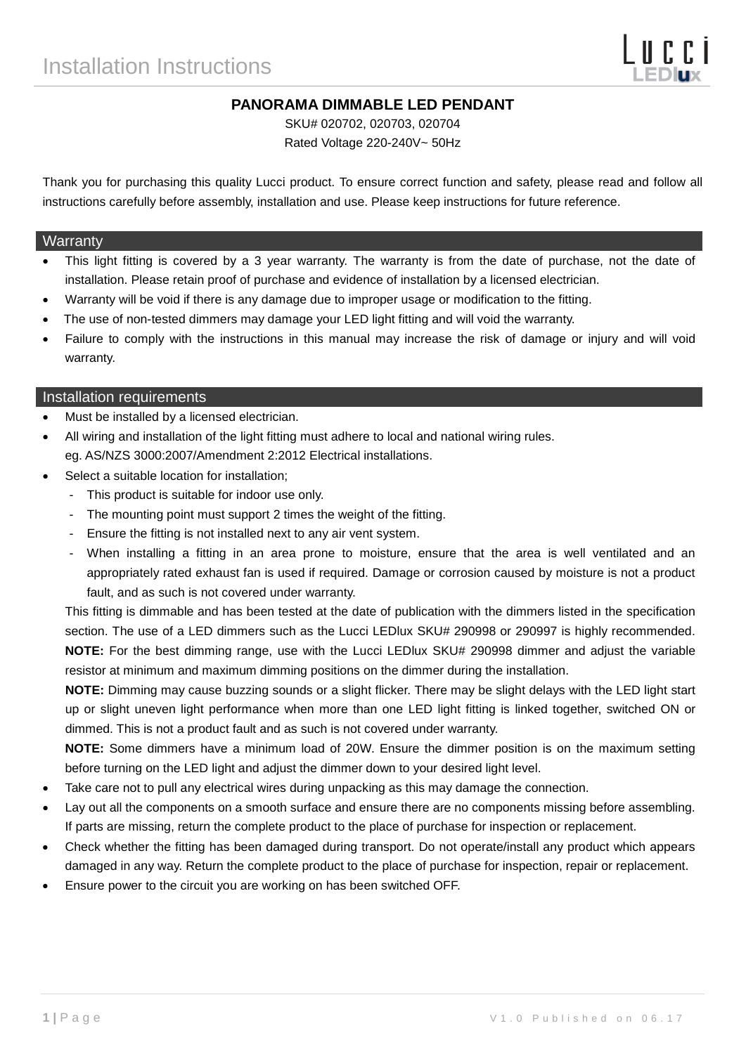# **PANORAMA DIMMABLE LED PENDANT**

SKU# 020702, 020703, 020704 Rated Voltage 220-240V~ 50Hz

Thank you for purchasing this quality Lucci product. To ensure correct function and safety, please read and follow all instructions carefully before assembly, installation and use. Please keep instructions for future reference.

#### **Warranty**

- This light fitting is covered by a 3 year warranty. The warranty is from the date of purchase, not the date of installation. Please retain proof of purchase and evidence of installation by a licensed electrician.
- Warranty will be void if there is any damage due to improper usage or modification to the fitting.
- The use of non-tested dimmers may damage your LED light fitting and will void the warranty.
- Failure to comply with the instructions in this manual may increase the risk of damage or injury and will void warranty.

#### Installation requirements

- Must be installed by a licensed electrician.
- All wiring and installation of the light fitting must adhere to local and national wiring rules. eg. AS/NZS 3000:2007/Amendment 2:2012 Electrical installations.
- Select a suitable location for installation:
	- This product is suitable for indoor use only.
	- The mounting point must support 2 times the weight of the fitting.
	- Ensure the fitting is not installed next to any air vent system.
	- When installing a fitting in an area prone to moisture, ensure that the area is well ventilated and an appropriately rated exhaust fan is used if required. Damage or corrosion caused by moisture is not a product fault, and as such is not covered under warranty.

This fitting is dimmable and has been tested at the date of publication with the dimmers listed in the specification section. The use of a LED dimmers such as the Lucci LEDlux SKU# 290998 or 290997 is highly recommended. **NOTE:** For the best dimming range, use with the Lucci LEDlux SKU# 290998 dimmer and adjust the variable resistor at minimum and maximum dimming positions on the dimmer during the installation.

**NOTE:** Dimming may cause buzzing sounds or a slight flicker. There may be slight delays with the LED light start up or slight uneven light performance when more than one LED light fitting is linked together, switched ON or dimmed. This is not a product fault and as such is not covered under warranty.

**NOTE:** Some dimmers have a minimum load of 20W. Ensure the dimmer position is on the maximum setting before turning on the LED light and adjust the dimmer down to your desired light level.

- Take care not to pull any electrical wires during unpacking as this may damage the connection.
- Lay out all the components on a smooth surface and ensure there are no components missing before assembling. If parts are missing, return the complete product to the place of purchase for inspection or replacement.
- Check whether the fitting has been damaged during transport. Do not operate/install any product which appears damaged in any way. Return the complete product to the place of purchase for inspection, repair or replacement.
- Ensure power to the circuit you are working on has been switched OFF.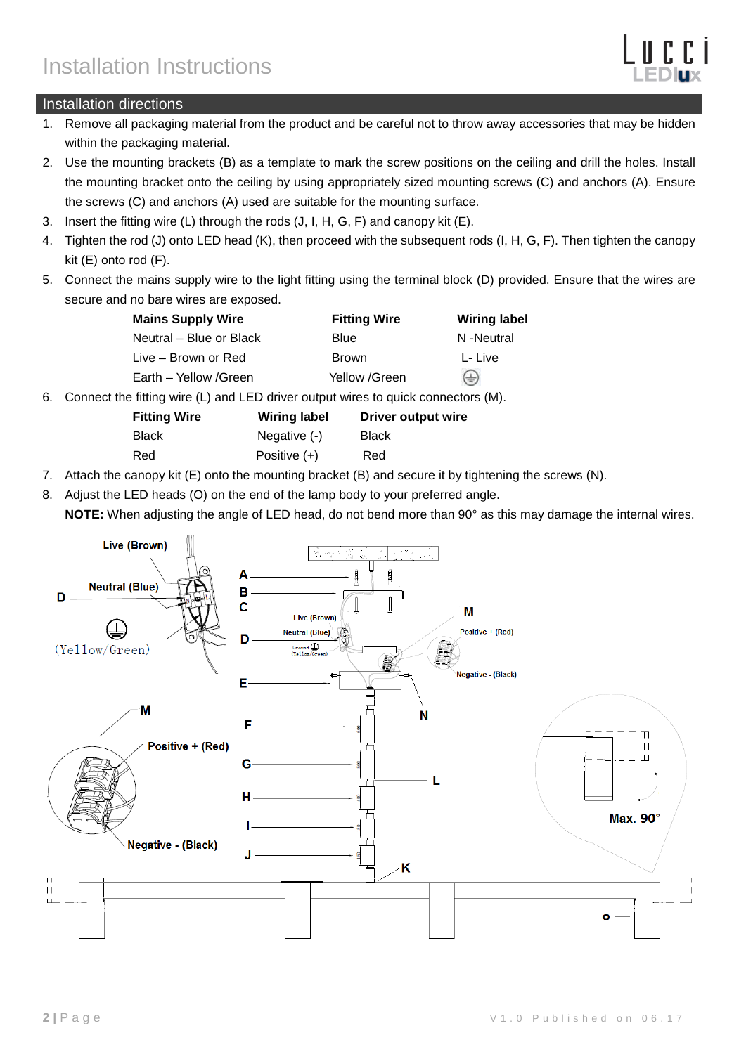### Installation directions

- 1. Remove all packaging material from the product and be careful not to throw away accessories that may be hidden within the packaging material.
- 2. Use the mounting brackets (B) as a template to mark the screw positions on the ceiling and drill the holes. Install the mounting bracket onto the ceiling by using appropriately sized mounting screws (C) and anchors (A). Ensure the screws (C) and anchors (A) used are suitable for the mounting surface.
- 3. Insert the fitting wire (L) through the rods (J, I, H, G, F) and canopy kit (E).
- 4. Tighten the rod (J) onto LED head (K), then proceed with the subsequent rods (I, H, G, F). Then tighten the canopy kit (E) onto rod (F).
- 5. Connect the mains supply wire to the light fitting using the terminal block (D) provided. Ensure that the wires are secure and no bare wires are exposed.

| <b>Mains Supply Wire</b> | <b>Fitting Wire</b> | <b>Wiring label</b> |  |
|--------------------------|---------------------|---------------------|--|
| Neutral – Blue or Black  | Blue                | N-Neutral           |  |
| Live – Brown or Red      | <b>Brown</b>        | L- Live             |  |
| Earth - Yellow /Green    | Yellow /Green       | ⊕                   |  |

6. Connect the fitting wire (L) and LED driver output wires to quick connectors (M).

**Wiring label Driver output wire** 

- Black Negative (-) Black Red Positive (+) Red
- 7. Attach the canopy kit (E) onto the mounting bracket (B) and secure it by tightening the screws (N).
- 8. Adjust the LED heads (O) on the end of the lamp body to your preferred angle. **NOTE:** When adjusting the angle of LED head, do not bend more than 90° as this may damage the internal wires.